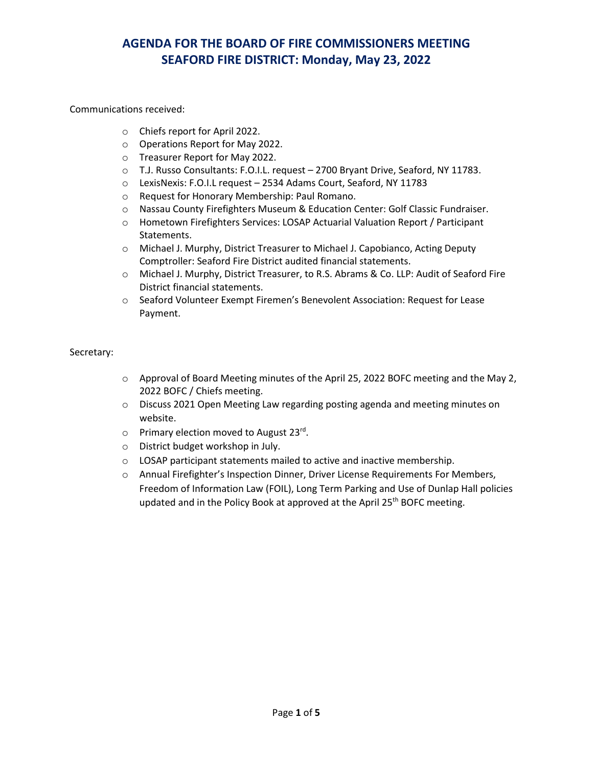#### Communications received:

- o Chiefs report for April 2022.
- o Operations Report for May 2022.
- o Treasurer Report for May 2022.
- o T.J. Russo Consultants: F.O.I.L. request 2700 Bryant Drive, Seaford, NY 11783.
- o LexisNexis: F.O.I.L request 2534 Adams Court, Seaford, NY 11783
- o Request for Honorary Membership: Paul Romano.
- o Nassau County Firefighters Museum & Education Center: Golf Classic Fundraiser.
- o Hometown Firefighters Services: LOSAP Actuarial Valuation Report / Participant Statements.
- o Michael J. Murphy, District Treasurer to Michael J. Capobianco, Acting Deputy Comptroller: Seaford Fire District audited financial statements.
- o Michael J. Murphy, District Treasurer, to R.S. Abrams & Co. LLP: Audit of Seaford Fire District financial statements.
- o Seaford Volunteer Exempt Firemen's Benevolent Association: Request for Lease Payment.

#### Secretary:

- $\circ$  Approval of Board Meeting minutes of the April 25, 2022 BOFC meeting and the May 2, 2022 BOFC / Chiefs meeting.
- o Discuss 2021 Open Meeting Law regarding posting agenda and meeting minutes on website.
- $\circ$  Primary election moved to August 23<sup>rd</sup>.
- o District budget workshop in July.
- o LOSAP participant statements mailed to active and inactive membership.
- o Annual Firefighter's Inspection Dinner, Driver License Requirements For Members, Freedom of Information Law (FOIL), Long Term Parking and Use of Dunlap Hall policies updated and in the Policy Book at approved at the April 25<sup>th</sup> BOFC meeting.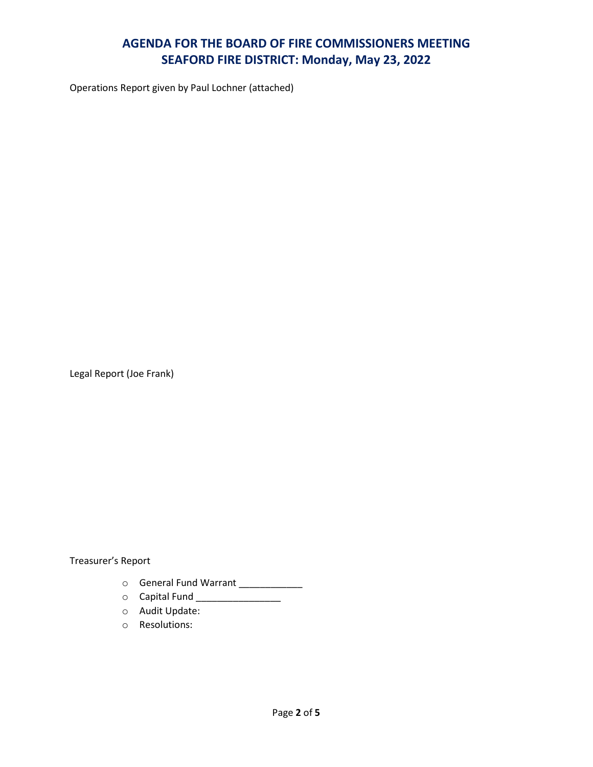Operations Report given by Paul Lochner (attached)

Legal Report (Joe Frank)

Treasurer's Report

- o General Fund Warrant \_\_\_\_\_\_\_\_\_\_\_\_
- 0 Capital Fund \_\_\_\_\_\_\_\_\_\_\_\_\_\_\_\_\_
- o Audit Update:
- o Resolutions: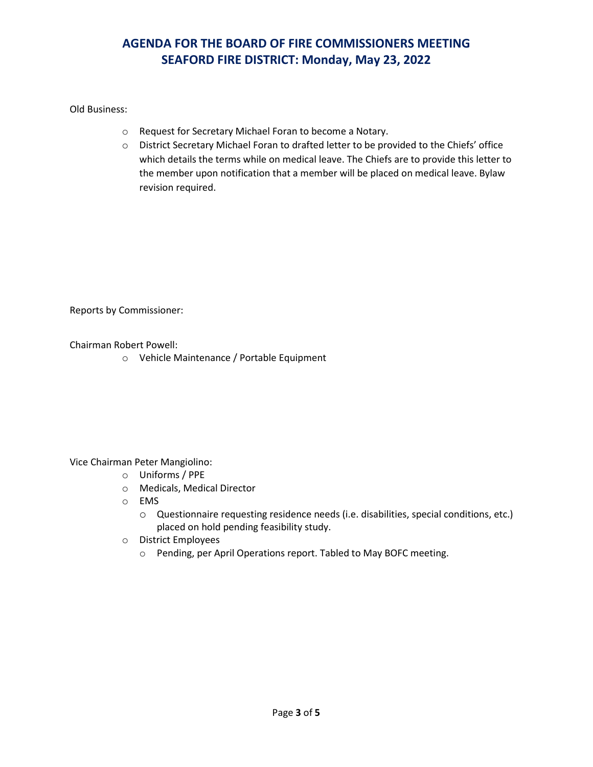### Old Business:

- o Request for Secretary Michael Foran to become a Notary.
- o District Secretary Michael Foran to drafted letter to be provided to the Chiefs' office which details the terms while on medical leave. The Chiefs are to provide this letter to the member upon notification that a member will be placed on medical leave. Bylaw revision required.

Reports by Commissioner:

Chairman Robert Powell:

o Vehicle Maintenance / Portable Equipment

#### Vice Chairman Peter Mangiolino:

- o Uniforms / PPE
- o Medicals, Medical Director
- o EMS
	- o Questionnaire requesting residence needs (i.e. disabilities, special conditions, etc.) placed on hold pending feasibility study.
- o District Employees
	- o Pending, per April Operations report. Tabled to May BOFC meeting.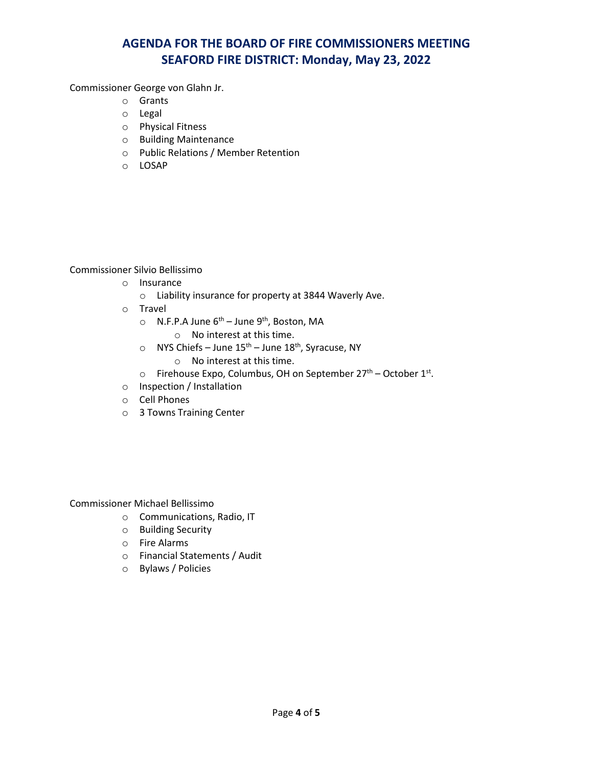Commissioner George von Glahn Jr.

- o Grants
- o Legal
- o Physical Fitness
- o Building Maintenance
- o Public Relations / Member Retention
- o LOSAP

Commissioner Silvio Bellissimo

- o Insurance
	- o Liability insurance for property at 3844 Waverly Ave.
- o Travel
	- $\circ$  N.F.P.A June  $6^{th}$  June  $9^{th}$ , Boston, MA
		- o No interest at this time.
	- $\circ$  NYS Chiefs June 15<sup>th</sup> June 18<sup>th</sup>, Syracuse, NY
		- o No interest at this time.
	- $\circ$  Firehouse Expo, Columbus, OH on September 27<sup>th</sup> October 1<sup>st</sup>.
- o Inspection / Installation
- o Cell Phones
- o 3 Towns Training Center

Commissioner Michael Bellissimo

- o Communications, Radio, IT
- o Building Security
- o Fire Alarms
- o Financial Statements / Audit
- o Bylaws / Policies